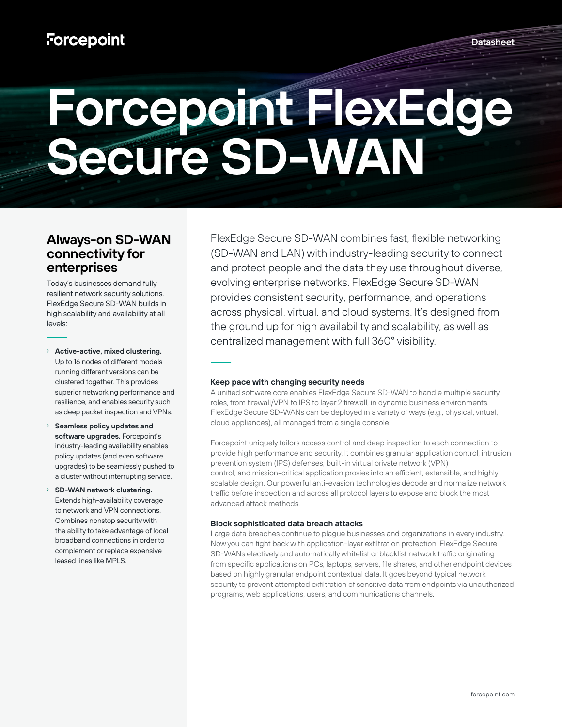# **Forcepoint FlexEdge Secure SD-WAN**

## **Always-on SD-WAN connectivity for enterprises**

Today's businesses demand fully resilient network security solutions. FlexEdge Secure SD-WAN builds in high scalability and availability at all levels:

- › **Active-active, mixed clustering.** Up to 16 nodes of different models running different versions can be clustered together. This provides superior networking performance and resilience, and enables security such as deep packet inspection and VPNs.
- Seamless policy updates and **software upgrades.** Forcepoint's industry-leading availability enables policy updates (and even software upgrades) to be seamlessly pushed to a cluster without interrupting service.
- › **SD-WAN network clustering.** Extends high-availability coverage to network and VPN connections. Combines nonstop security with the ability to take advantage of local broadband connections in order to complement or replace expensive leased lines like MPLS.

FlexEdge Secure SD-WAN combines fast, flexible networking (SD-WAN and LAN) with industry-leading security to connect and protect people and the data they use throughout diverse, evolving enterprise networks. FlexEdge Secure SD-WAN provides consistent security, performance, and operations across physical, virtual, and cloud systems. It's designed from the ground up for high availability and scalability, as well as centralized management with full 360° visibility.

#### **Keep pace with changing security needs**

A unified software core enables FlexEdge Secure SD-WAN to handle multiple security roles, from firewall/VPN to IPS to layer 2 firewall, in dynamic business environments. FlexEdge Secure SD-WANs can be deployed in a variety of ways (e.g., physical, virtual, cloud appliances), all managed from a single console.

Forcepoint uniquely tailors access control and deep inspection to each connection to provide high performance and security. It combines granular application control, intrusion prevention system (IPS) defenses, built-in virtual private network (VPN) control, and mission-critical application proxies into an efficient, extensible, and highly scalable design. Our powerful anti-evasion technologies decode and normalize network traffic before inspection and across all protocol layers to expose and block the most advanced attack methods.

#### **Block sophisticated data breach attacks**

Large data breaches continue to plague businesses and organizations in every industry. Now you can fight back with application-layer exfiltration protection. FlexEdge Secure SD-WANs electively and automatically whitelist or blacklist network traffic originating from specific applications on PCs, laptops, servers, file shares, and other endpoint devices based on highly granular endpoint contextual data. It goes beyond typical network security to prevent attempted exfiltration of sensitive data from endpoints via unauthorized programs, web applications, users, and communications channels.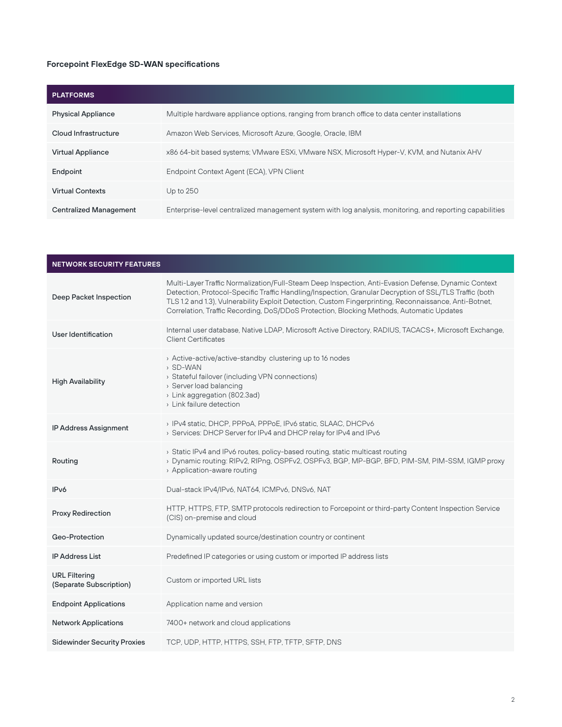### **Forcepoint FlexEdge SD-WAN specifications**

| <b>PLATFORMS</b>              |                                                                                                          |
|-------------------------------|----------------------------------------------------------------------------------------------------------|
| <b>Physical Appliance</b>     | Multiple hardware appliance options, ranging from branch office to data center installations             |
| Cloud Infrastructure          | Amazon Web Services, Microsoft Azure, Google, Oracle, IBM                                                |
| <b>Virtual Appliance</b>      | x86 64-bit based systems; VMware ESXi, VMware NSX, Microsoft Hyper-V, KVM, and Nutanix AHV               |
| Endpoint                      | Endpoint Context Agent (ECA), VPN Client                                                                 |
| <b>Virtual Contexts</b>       | Up to $250$                                                                                              |
| <b>Centralized Management</b> | Enterprise-level centralized management system with log analysis, monitoring, and reporting capabilities |

| <b>NETWORK SECURITY FEATURES</b>                |                                                                                                                                                                                                                                                                                                                                                                                                                     |
|-------------------------------------------------|---------------------------------------------------------------------------------------------------------------------------------------------------------------------------------------------------------------------------------------------------------------------------------------------------------------------------------------------------------------------------------------------------------------------|
| Deep Packet Inspection                          | Multi-Layer Traffic Normalization/Full-Steam Deep Inspection, Anti-Evasion Defense, Dynamic Context<br>Detection, Protocol-Specific Traffic Handling/Inspection, Granular Decryption of SSL/TLS Traffic (both<br>TLS 1.2 and 1.3), Vulnerability Exploit Detection, Custom Fingerprinting, Reconnaissance, Anti-Botnet,<br>Correlation, Traffic Recording, DoS/DDoS Protection, Blocking Methods, Automatic Updates |
| User Identification                             | Internal user database, Native LDAP, Microsoft Active Directory, RADIUS, TACACS+, Microsoft Exchange,<br><b>Client Certificates</b>                                                                                                                                                                                                                                                                                 |
| <b>High Availability</b>                        | > Active-active/active-standby clustering up to 16 nodes<br>> SD-WAN<br>> Stateful failover (including VPN connections)<br>> Server load balancing<br>> Link aggregation (802.3ad)<br>> Link failure detection                                                                                                                                                                                                      |
| IP Address Assignment                           | > IPv4 static, DHCP, PPPoA, PPPoE, IPv6 static, SLAAC, DHCPv6<br>> Services: DHCP Server for IPv4 and DHCP relay for IPv4 and IPv6                                                                                                                                                                                                                                                                                  |
| Routing                                         | > Static IPv4 and IPv6 routes, policy-based routing, static multicast routing<br>> Dynamic routing: RIPv2, RIPng, OSPFv2, OSPFv3, BGP, MP-BGP, BFD, PIM-SM, PIM-SSM, IGMP proxy<br>> Application-aware routing                                                                                                                                                                                                      |
| IPv6                                            | Dual-stack IPv4/IPv6, NAT64, ICMPv6, DNSv6, NAT                                                                                                                                                                                                                                                                                                                                                                     |
| Proxy Redirection                               | HTTP, HTTPS, FTP, SMTP protocols redirection to Forcepoint or third-party Content Inspection Service<br>(CIS) on-premise and cloud                                                                                                                                                                                                                                                                                  |
| Geo-Protection                                  | Dynamically updated source/destination country or continent                                                                                                                                                                                                                                                                                                                                                         |
| <b>IP Address List</b>                          | Predefined IP categories or using custom or imported IP address lists                                                                                                                                                                                                                                                                                                                                               |
| <b>URL Filtering</b><br>(Separate Subscription) | Custom or imported URL lists                                                                                                                                                                                                                                                                                                                                                                                        |
| <b>Endpoint Applications</b>                    | Application name and version                                                                                                                                                                                                                                                                                                                                                                                        |
| <b>Network Applications</b>                     | 7400+ network and cloud applications                                                                                                                                                                                                                                                                                                                                                                                |
| <b>Sidewinder Security Proxies</b>              | TCP, UDP, HTTP, HTTPS, SSH, FTP, TFTP, SFTP, DNS                                                                                                                                                                                                                                                                                                                                                                    |